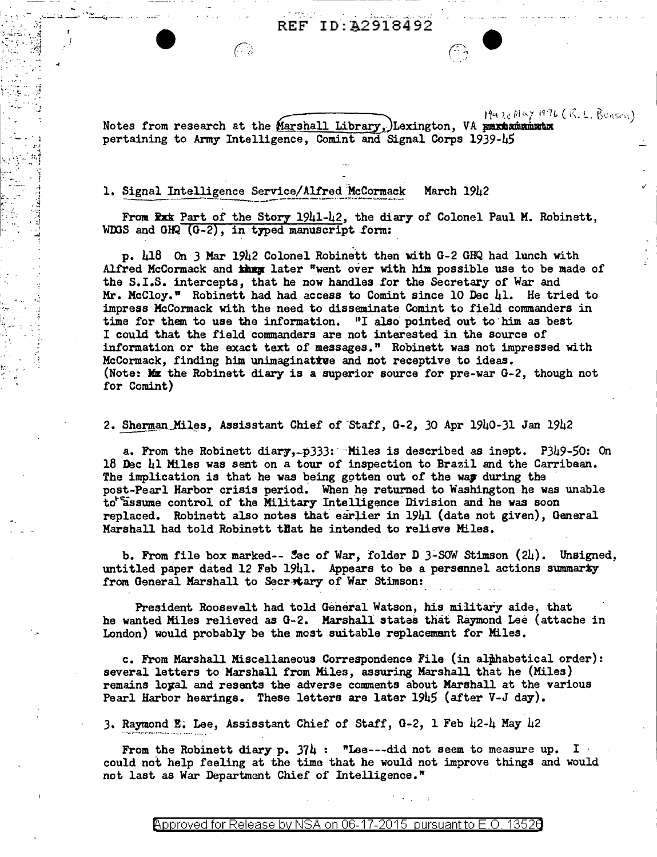ID: A2918492 REF



#### 1. Signal Intelligence Service/Alfred McCormack March 1942

(\* . . . . . . . . . . <u>.</u>

From Rxx Part of the Story 1941-42, the diary of Colonel Paul M. Robinett, WDGS and GHQ (G-2), in typed manuscript form:

p. 418 On 3 Mar 1942 Colonel Robinett then with G-2 GHQ had lunch with Alfred McCormack and then later "went over with him possible use to be made of the S.I.S. intercepts, that he now handles for the Secretary of War and Mr. McCloy." Robinett had had access to Comint since 10 Dec 41. He tried to impress McCormack with the need to disseminate Comint to field commanders in time for them to use the information. "I also pointed out to him as best I could that the field commanders are not interested in the source of information or the exact text of messages." Robinett was not impressed with McCormack. finding him unimaginative and not receptive to ideas. (Note: Max the Robinett diary is a superior source for pre-war G-2, though not for Comint)

2. Sherman Miles, Assisstant Chief of Staff, G-2, 30 Apr 1940-31 Jan 1942

a. From the Robinett diary,  $p333$ : Miles is described as inept. P349-50: On 18 Dec 41 Miles was sent on a tour of inspection to Brazil and the Carribean. The implication is that he was being gotten out of the was during the post-Pearl Harbor crisis period. When he returned to Washington he was unable to assume control of the Military Intelligence Division and he was soon replaced. Robinett also notes that earlier in 1941 (date not given), General Marshall had told Robinett that he intended to relieve Miles.

b. From file box marked-- Sec of War, folder D  $3-$ SOW Stimson  $(24)$ . Unsigned, untitled paper dated 12 Feb 1941. Appears to be a persennel actions summarty from General Marshall to Secretary of War Stimson:

President Roosevelt had told General Watson, his military aide, that he wanted Miles relieved as G-2. Marshall states that Raymond Lee (attache in London) would probably be the most suitable replacement for Miles.

c. From Marshall Miscellaneous Correspondence File (in alphabetical order): several letters to Marshall from Miles, assuring Marshall that he (Miles) remains loyal and resents the adverse comments about Marshall at the various Pearl Harbor hearings. These letters are later  $19\nu 5$  (after V-J day).

3. Raymond E. Lee, Assisstant Chief of Staff, G-2, 1 Feb 42-4 May 42

From the Robinett diary p.  $374$ : "Lee---did not seem to measure up. I could not help feeling at the time that he would not improve things and would not last as War Department Chief of Intelligence."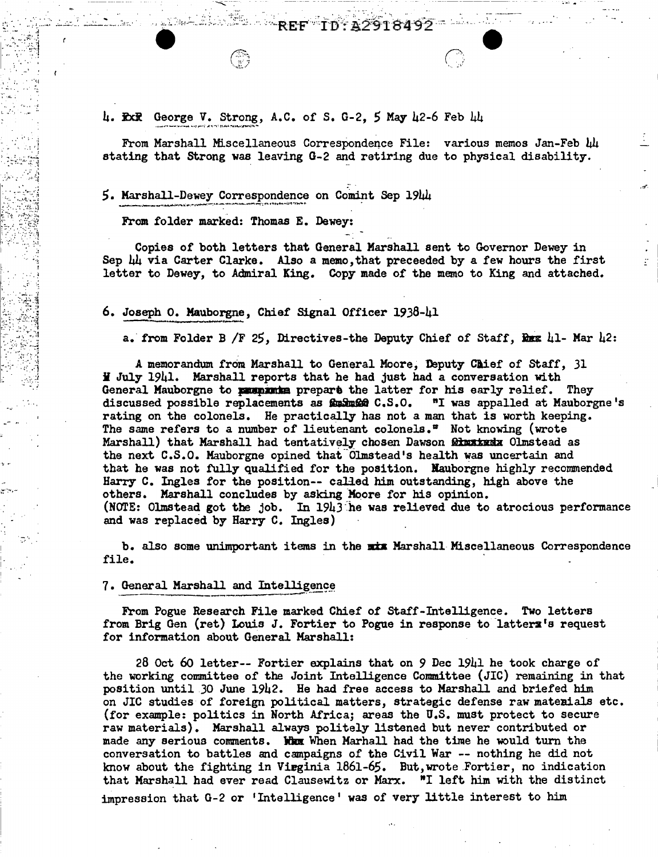REF.

From Marshall Miscellaneous Correspondence File: various memos Jan-Feb 44 stating that Strong was leaving G-2 and retiring due to physical disability.

ID: A2918492 - 10

## 5. Marshall-Dewey Correspondence on Comint Sep 1944

From folder marked: Thomas E. Dewey:

1990年4月

Copies of both letters that General Marshall sent to Governor Dewey in Sep 44 via Carter Clarke. Also a memo, that preceeded by a few hours the first letter to Dewey, to Admiral King. Copy made of the memo to King and attached.

### 6. Joseph O. Mauborgne, Chief Signal Officer 1938-41

a. from Folder B /F 25, Directives-the Deputy Chief of Staff, Rex 41- Mar 42:

A memorandum from Marshall to General Moore, Deputy Chief of Staff, 31 H July 1941. Marshall reports that he had just had a conversation with General Mauborgne to pumpunka prepare the latter for his early relief. They discussed possible replacements as for Small C.S.O. "I was appalled at Mauborgne's rating on the colonels. He practically has not a man that is worth keeping. The same refers to a number of lieutenant colonels." Not knowing (wrote Marshall) that Marshall had tentatively chosen Dawson **21mxtxdx** Olmstead as the next C.S.O. Mauborgne opined that Olmstead's health was uncertain and that he was not fully qualified for the position. Nauborgne highly recommended Harry C. Ingles for the position-- called him outstanding, high above the others. Marshall concludes by asking Moore for his opinion. (NOTE: Olmstead got the job. In  $1943$  he was relieved due to atrocious performance and was replaced by Harry C. Ingles)

b. also some unimportant items in the mix Marshall Miscellaneous Correspondence file.

#### 7. General Marshall and Intelligence

From Pogue Research File marked Chief of Staff-Intelligence. Two letters from Brig Gen (ret) Louis J. Fortier to Pogue in response to latters's request for information about General Marshall:

28 Oct 60 letter-- Fortier explains that on 9 Dec 1941 he took charge of the working committee of the Joint Intelligence Committee (JIC) remaining in that position until 30 June 1942. He had free access to Marshall and briefed him on JIC studies of foreign political matters, strategic defense raw materials etc. (for example: politics in North Africa; areas the U.S. must protect to secure raw materials). Marshall always politely listened but never contributed or made any serious comments. When When Marhall had the time he would turn the conversation to battles and campaigns of the Civil War -- nothing he did not know about the fighting in Virginia 1861-65. But, wrote Fortier, no indication that Marshall had ever read Clausewitz or Marx. "I left him with the distinct impression that G-2 or 'Intelligence' was of very little interest to him